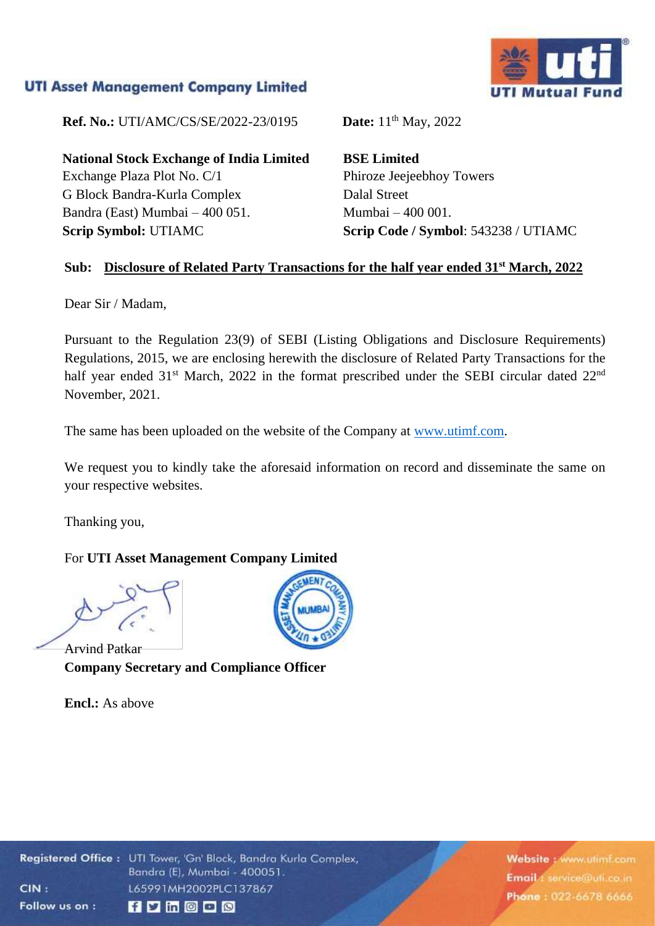## **UTI Asset Management Company Limited**

**Ref. No.:** UTI/AMC/CS/SE/2022-23/0195 **Date:** 11<sup>th</sup> May, 2022

**National Stock Exchange of India Limited** Exchange Plaza Plot No. C/1 G Block Bandra-Kurla Complex Bandra (East) Mumbai – 400 051. **Scrip Symbol:** UTIAMC

**BSE Limited** Phiroze Jeejeebhoy Towers Dalal Street Mumbai – 400 001. **Scrip Code / Symbol**: 543238 / UTIAMC

### **Sub: Disclosure of Related Party Transactions for the half year ended 31st March, 2022**

Dear Sir / Madam,

Pursuant to the Regulation 23(9) of SEBI (Listing Obligations and Disclosure Requirements) Regulations, 2015, we are enclosing herewith the disclosure of Related Party Transactions for the half year ended 31<sup>st</sup> March, 2022 in the format prescribed under the SEBI circular dated 22<sup>nd</sup> November, 2021.

The same has been uploaded on the website of the Company at [www.utimf.com.](http://www.utimf.com/)

We request you to kindly take the aforesaid information on record and disseminate the same on your respective websites.

Thanking you,

#### For **UTI Asset Management Company Limited**

Arvind Patkar **Company Secretary and Compliance Officer**

**Encl.:** As above



Website: www.utimf.com Email 1 service@uti.co.in Phone: 022-6678 6666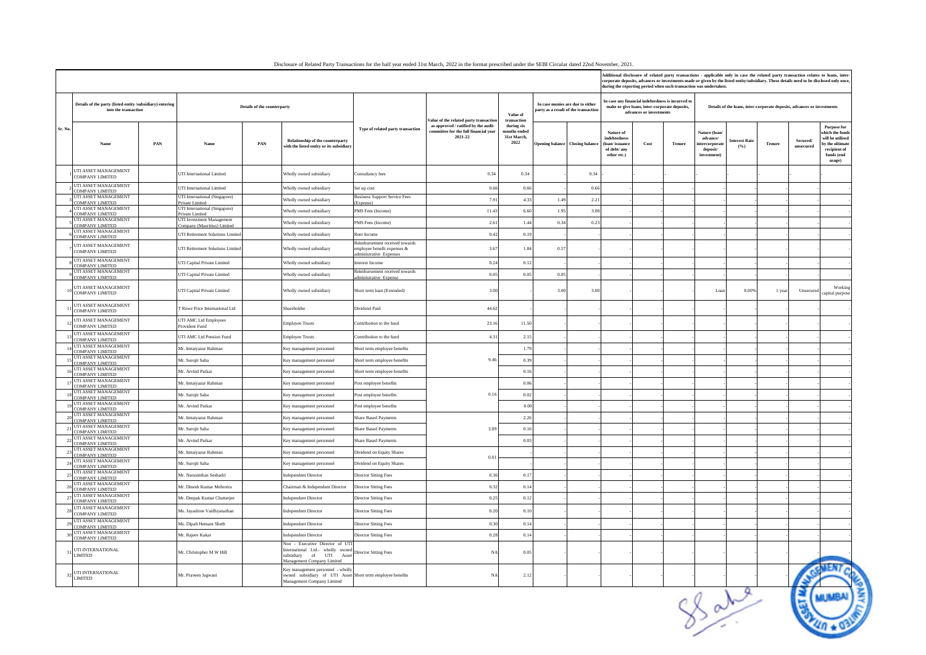| lisclosure of Related Party Transactions for the half vear ended 31st March, 2022 in the format prescribed under the SEBI Circular dated 22nd November, 202 |  |  |  |
|-------------------------------------------------------------------------------------------------------------------------------------------------------------|--|--|--|

|                       |                                                                                   |     |                                                          |                                                                                                                                                             | Additional disclosure of related party transactions - applicable only in case the related party transaction relates to loans, inter-<br>corporate deposits, advances or investments made or given by the listed entity/subsidiary. These details need to be disclosed only once<br>during the reporting period when such transaction was undertaken. |                                                                                         |                                                   |                                                                          |                                 |                                                                                                    |                         |               |                                                                         |                             |        |                       |                                                                                                                   |
|-----------------------|-----------------------------------------------------------------------------------|-----|----------------------------------------------------------|-------------------------------------------------------------------------------------------------------------------------------------------------------------|------------------------------------------------------------------------------------------------------------------------------------------------------------------------------------------------------------------------------------------------------------------------------------------------------------------------------------------------------|-----------------------------------------------------------------------------------------|---------------------------------------------------|--------------------------------------------------------------------------|---------------------------------|----------------------------------------------------------------------------------------------------|-------------------------|---------------|-------------------------------------------------------------------------|-----------------------------|--------|-----------------------|-------------------------------------------------------------------------------------------------------------------|
|                       | Details of the party (listed entity /subsidiary) entering<br>into the transaction |     |                                                          | Details of the counterparty                                                                                                                                 |                                                                                                                                                                                                                                                                                                                                                      | Value of the related party transaction                                                  | Value of<br>transaction                           | In case monies are due to either<br>party as a result of the transaction |                                 | In case any financial indebtedness is incurred to<br>make or give loans, inter-corporate deposits, | advances or investments |               | Details of the loans, inter-corporate deposits, advances or investments |                             |        |                       |                                                                                                                   |
| Sr. No.               | Name                                                                              | PAN | Name                                                     | Relationship of the counterparty<br>PAN<br>with the listed entity or its subsidiary                                                                         | Type of related party transaction                                                                                                                                                                                                                                                                                                                    | as approved / ratified by the audit<br>committee for the full financial year<br>2021-22 | during six<br>months ended<br>31st March,<br>2022 |                                                                          | Opening balance Closing balance | Nature of<br>indebtednes<br>(loan/issuane<br>of debt/any<br>other etc.)                            | Cost                    | <b>Tenure</b> | Nature (loan<br>advance/<br>tercorporat<br>deposit/<br>investment)      | <b>Interest Rate</b><br>(%) | Tenure | Secured/<br>unsecured | <b>Purpose for</b><br>which the fund<br>will be utilised<br>by the ultima<br>recipient of<br>funds (end<br>usage) |
|                       | UTI ASSET MANAGEMENT<br><b>COMPANY LIMITED</b>                                    |     | <b>JTI</b> International Limited                         | Wholly owned subsidiary                                                                                                                                     | Consultancy fees                                                                                                                                                                                                                                                                                                                                     | 0.34                                                                                    | 0.34                                              |                                                                          | 0.34                            |                                                                                                    |                         |               |                                                                         |                             |        |                       |                                                                                                                   |
|                       | UTI ASSET MANAGEMENT<br>COMPANY LIMITED                                           |     | <b>UTI</b> International Limited                         | Wholly owned subsidiary                                                                                                                                     | Set up cost                                                                                                                                                                                                                                                                                                                                          | 0.66                                                                                    | 0.66                                              |                                                                          | 0.66                            |                                                                                                    |                         |               |                                                                         |                             |        |                       |                                                                                                                   |
|                       | UTI ASSET MANAGEMENT<br>COMPANY LIMITED                                           |     | UTI International (Singapore)<br>Private Limited         | Wholly owned subsidiary                                                                                                                                     | lusiness Support Service Fees<br>Expense                                                                                                                                                                                                                                                                                                             | 7.91                                                                                    | 4.33                                              | 1.49                                                                     | 2.21                            |                                                                                                    |                         |               |                                                                         |                             |        |                       |                                                                                                                   |
|                       | UTI ASSET MANAGEMENT<br>COMPANY LIMITED                                           |     | UTI International (Singapore)<br>Private Limited         | Wholly owned subsidiary                                                                                                                                     | PMS Fees (Income)                                                                                                                                                                                                                                                                                                                                    | 11.43                                                                                   | 6.60                                              | 1.95                                                                     | 3.08                            |                                                                                                    |                         |               |                                                                         |                             |        |                       |                                                                                                                   |
|                       | UTI ASSET MANAGEMENT<br>COMPANY LIMITED                                           |     | UTI Investment Management<br>'ompany (Mauritius) Limited | Wholly owned subsidiary                                                                                                                                     | PMS Fees (Income)                                                                                                                                                                                                                                                                                                                                    | 2.6                                                                                     | 1.44                                              | 0.34                                                                     | 0.23                            |                                                                                                    |                         |               |                                                                         |                             |        |                       |                                                                                                                   |
|                       | UTI ASSET MANAGEMENT<br>COMPANY LIMITED                                           |     | <b>JTI Retirement Solutions Limited</b>                  | Wholly owned subsidiary                                                                                                                                     | Rent Income                                                                                                                                                                                                                                                                                                                                          | 0.42                                                                                    | 0.19                                              |                                                                          |                                 |                                                                                                    |                         |               |                                                                         |                             |        |                       |                                                                                                                   |
|                       | UTI ASSET MANAGEMENT<br>COMPANY LIMITED                                           |     | UTI Retirement Solutions Limited                         | Wholly owned subsidiary                                                                                                                                     | Reimbursement received towards<br>employee benefit expenses &<br>dministrative Expenses                                                                                                                                                                                                                                                              | 3.67                                                                                    | 1.84                                              | 0.57                                                                     |                                 |                                                                                                    |                         |               |                                                                         |                             |        |                       |                                                                                                                   |
|                       | UTI ASSET MANAGEMENT<br>COMPANY LIMITED                                           |     | UTI Capital Private Limited                              | Wholly owned subsidiary                                                                                                                                     | nterest Income                                                                                                                                                                                                                                                                                                                                       | 0.24                                                                                    | 0.12                                              |                                                                          |                                 |                                                                                                    |                         |               |                                                                         |                             |        |                       |                                                                                                                   |
|                       | UTI ASSET MANAGEMENT<br>COMPANY LIMITED                                           |     | UTI Capital Private Limited                              | Wholly owned subsidiary                                                                                                                                     | Reimbursement received towards<br>dministrative Expense                                                                                                                                                                                                                                                                                              | 0.05                                                                                    | 0.05                                              | 0.05                                                                     |                                 |                                                                                                    |                         |               |                                                                         |                             |        |                       |                                                                                                                   |
|                       | UTI ASSET MANAGEMENT<br>COMPANY LIMITED                                           |     | UTI Capital Private Limited                              | Wholly owned subsidiary                                                                                                                                     | Short term loan (Extended)                                                                                                                                                                                                                                                                                                                           | 3.00                                                                                    |                                                   | 3.00                                                                     | 3.00                            |                                                                                                    |                         |               | Loan                                                                    | 8.00%                       | 1 yea  | Unsecured             | Working<br>capital purpose                                                                                        |
|                       | UTI ASSET MANAGEMENT<br>COMPANY LIMITED                                           |     | <b>FRowe Price International Ltd</b>                     | Shareholder                                                                                                                                                 | Dividend Paid                                                                                                                                                                                                                                                                                                                                        | 44.62                                                                                   |                                                   |                                                                          |                                 |                                                                                                    |                         |               |                                                                         |                             |        |                       |                                                                                                                   |
|                       | UTI ASSET MANAGEMENT<br>COMPANY LIMITED                                           |     | UTI AMC Ltd Employees<br>Provident Fund                  | <b>Employee Trusts</b>                                                                                                                                      | Contribution to the fund                                                                                                                                                                                                                                                                                                                             | 23.1                                                                                    | 11.50                                             |                                                                          |                                 |                                                                                                    |                         |               |                                                                         |                             |        |                       |                                                                                                                   |
|                       | UTI ASSET MANAGEMENT<br>COMPANY LIMITED                                           |     | UTI AMC Ltd Pension Fund                                 | <b>Employee Trusts</b>                                                                                                                                      | Contribution to the fund                                                                                                                                                                                                                                                                                                                             | 4.31                                                                                    | 2.15                                              |                                                                          |                                 |                                                                                                    |                         |               |                                                                         |                             |        |                       |                                                                                                                   |
|                       | UTI ASSET MANAGEMENT<br>COMPANY LIMITED                                           |     | Mr. Imtaiyazur Rahman                                    | Key management personnel                                                                                                                                    | Short term employee benefits                                                                                                                                                                                                                                                                                                                         |                                                                                         | 1.79                                              |                                                                          |                                 |                                                                                                    |                         |               |                                                                         |                             |        |                       |                                                                                                                   |
|                       | UTI ASSET MANAGEMENT<br>COMPANY LIMITED                                           |     | Mr. Surojit Saha                                         | Key management personnel                                                                                                                                    | Short term employee benefits                                                                                                                                                                                                                                                                                                                         | 9.46                                                                                    | 0.39                                              |                                                                          |                                 |                                                                                                    |                         |               |                                                                         |                             |        |                       |                                                                                                                   |
|                       | UTI ASSET MANAGEMENT<br><b>COMPANY LIMITED</b>                                    |     | Mr. Arvind Patkar                                        | Key management personnel                                                                                                                                    | Short term employee benefits                                                                                                                                                                                                                                                                                                                         |                                                                                         | 0.16                                              |                                                                          |                                 |                                                                                                    |                         |               |                                                                         |                             |        |                       |                                                                                                                   |
| $\mathbf{I}^{\prime}$ | UTI ASSET MANAGEMENT<br><b>COMPANY LIMITED</b>                                    |     | Mr. Imtaiyazur Rahman                                    | Key management personnel                                                                                                                                    | Post employee benefits                                                                                                                                                                                                                                                                                                                               |                                                                                         | 0.06                                              |                                                                          |                                 |                                                                                                    |                         |               |                                                                         |                             |        |                       |                                                                                                                   |
|                       | UTI ASSET MANAGEMENT<br>COMPANY LIMITED                                           |     | Mr. Surojit Saha                                         | Key management personnel                                                                                                                                    | Post employee benefits                                                                                                                                                                                                                                                                                                                               | 0.16                                                                                    | 0.02                                              |                                                                          |                                 |                                                                                                    |                         |               |                                                                         |                             |        |                       |                                                                                                                   |
| 1 <sup>1</sup>        | UTI ASSET MANAGEMENT<br>COMPANY LIMITED                                           |     | Mr. Arvind Patkar                                        | Key management personnel                                                                                                                                    | Post employee benefits                                                                                                                                                                                                                                                                                                                               |                                                                                         | 0.00                                              |                                                                          |                                 |                                                                                                    |                         |               |                                                                         |                             |        |                       |                                                                                                                   |
| 20                    | UTI ASSET MANAGEMENT<br>COMPANY LIMITED                                           |     | Mr. Imtaiyazur Rahman                                    | Key management personnel                                                                                                                                    | Share Based Payments                                                                                                                                                                                                                                                                                                                                 |                                                                                         | 2.26                                              |                                                                          |                                 |                                                                                                    |                         |               |                                                                         |                             |        |                       |                                                                                                                   |
| $\overline{2}$        | UTI ASSET MANAGEMENT<br>COMPANY LIMITED                                           |     | Mr. Surojit Saha                                         | Key management personnel                                                                                                                                    | Share Based Payments                                                                                                                                                                                                                                                                                                                                 | 3.89                                                                                    | 0.16                                              |                                                                          |                                 |                                                                                                    |                         |               |                                                                         |                             |        |                       |                                                                                                                   |
| 22                    | UTI ASSET MANAGEMENT<br>COMPANY LIMITED                                           |     | Mr. Arvind Patkar                                        | Key management personnel                                                                                                                                    | <b>Share Based Payments</b>                                                                                                                                                                                                                                                                                                                          |                                                                                         | 0.03                                              |                                                                          |                                 |                                                                                                    |                         |               |                                                                         |                             |        |                       |                                                                                                                   |
| 23                    | UTI ASSET MANAGEMENT<br>COMPANY LIMITED                                           |     | Mr. Imtaiyazur Rahman                                    | Key management personnel                                                                                                                                    | Dividend on Equity Shares                                                                                                                                                                                                                                                                                                                            |                                                                                         |                                                   |                                                                          |                                 |                                                                                                    |                         |               |                                                                         |                             |        |                       |                                                                                                                   |
| 24                    | UTI ASSET MANAGEMENT                                                              |     | Mr. Surojit Saha                                         | Key management personnel                                                                                                                                    | Dividend on Equity Shares                                                                                                                                                                                                                                                                                                                            | 0.01                                                                                    |                                                   |                                                                          |                                 |                                                                                                    |                         |               |                                                                         |                             |        |                       |                                                                                                                   |
| 25                    | <b>COMPANY LIMITED</b><br>UTI ASSET MANAGEMENT                                    |     | Mr. Narasimhan Seshadri                                  | <b>Independent Director</b>                                                                                                                                 | <b>Director Sitting Fees</b>                                                                                                                                                                                                                                                                                                                         | 0.36                                                                                    | 0.17                                              |                                                                          |                                 |                                                                                                    |                         |               |                                                                         |                             |        |                       |                                                                                                                   |
| $\mathfrak{D}$        | COMPANY LIMITED<br>UTI ASSET MANAGEMENT                                           |     | Mr. Dinesh Kumar Mehrotra                                | Chairman & Independent Director                                                                                                                             | Director Sitting Fees                                                                                                                                                                                                                                                                                                                                | 0.32                                                                                    | 0.14                                              |                                                                          |                                 |                                                                                                    |                         |               |                                                                         |                             |        |                       |                                                                                                                   |
| 27                    | COMPANY LIMITED<br>UTI ASSET MANAGEMENT                                           |     | Mr. Deepak Kumar Chatterjee                              | <b>Independent Director</b>                                                                                                                                 | Director Sitting Fees                                                                                                                                                                                                                                                                                                                                | 0.25                                                                                    | 0.12                                              |                                                                          |                                 |                                                                                                    |                         |               |                                                                         |                             |        |                       |                                                                                                                   |
| 28                    | COMPANY LIMITED<br>UTI ASSET MANAGEMENT<br><b>COMPANY LIMITED</b>                 |     | Ms. Jayashree Vaidhyanathan                              | <b>Independent Director</b>                                                                                                                                 | <b>Director Sitting Fees</b>                                                                                                                                                                                                                                                                                                                         | 0.20                                                                                    | 0.10                                              |                                                                          |                                 |                                                                                                    |                         |               |                                                                         |                             |        |                       |                                                                                                                   |
| 2 <sup>6</sup>        | UTI ASSET MANAGEMENT<br><b>COMPANY LIMITED</b>                                    |     | Ms. Dipali Hemant Sheth                                  | <b>Independent Director</b>                                                                                                                                 | Director Sitting Fees                                                                                                                                                                                                                                                                                                                                | 0.30                                                                                    | 0.14                                              |                                                                          |                                 |                                                                                                    |                         |               |                                                                         |                             |        |                       |                                                                                                                   |
|                       | UTI ASSET MANAGEMENT<br>COMPANY LIMITED                                           |     | Mr. Rajeev Kakar                                         | <b>Independent Director</b>                                                                                                                                 | <b>Director Sitting Fees</b>                                                                                                                                                                                                                                                                                                                         | 0.28                                                                                    | 0.14                                              |                                                                          |                                 |                                                                                                    |                         |               |                                                                         |                             |        |                       |                                                                                                                   |
|                       | UTI INTERNATIONAL<br>$31\,$ $\rm LIMITED$                                         |     | Mr. Christopher M W Hill                                 | Non - Executive Director of UTI<br>International Ltd. wholly owned<br>International Ltd. wholly owned<br>$\Delta_{\text{mean}}$<br>subsidiary of UTI Asset  |                                                                                                                                                                                                                                                                                                                                                      | <b>NA</b>                                                                               | 0.05                                              |                                                                          |                                 |                                                                                                    |                         |               |                                                                         |                             |        |                       |                                                                                                                   |
|                       | UTI INTERNATIONAL<br>$32$ LIMITED                                                 |     | Mr. Praveen Jagwani                                      | Management Company Limited<br>Key management personnel - wholly<br>owned subsidiary of UTI Asset Short term employee benefits<br>Management Company Limited |                                                                                                                                                                                                                                                                                                                                                      | <b>NA</b>                                                                               | 2.12                                              |                                                                          |                                 |                                                                                                    |                         |               |                                                                         | $8 \times 18$               |        |                       |                                                                                                                   |